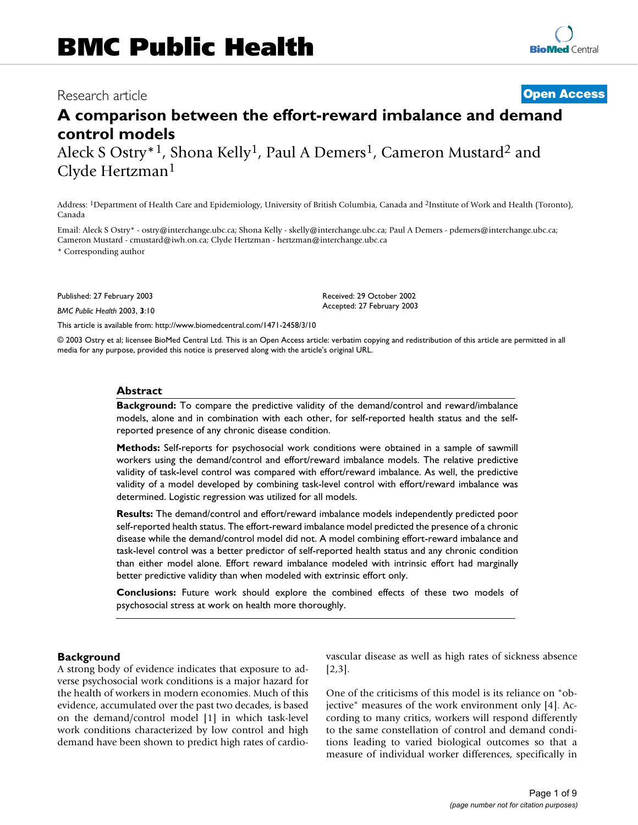## Research article **[Open Access](http://www.biomedcentral.com/info/about/charter/)**

# **A comparison between the effort-reward imbalance and demand control models**

Aleck S Ostry\*1, Shona Kelly<sup>1</sup>, Paul A Demers<sup>1</sup>, Cameron Mustard<sup>2</sup> and Clyde Hertzman1

Address: 1Department of Health Care and Epidemiology, University of British Columbia, Canada and 2Institute of Work and Health (Toronto), Canada

Email: Aleck S Ostry\* - ostry@interchange.ubc.ca; Shona Kelly - skelly@interchange.ubc.ca; Paul A Demers - pdemers@interchange.ubc.ca; Cameron Mustard - cmustard@iwh.on.ca; Clyde Hertzman - hertzman@interchange.ubc.ca

\* Corresponding author

Published: 27 February 2003

*BMC Public Health* 2003, **3**:10

[This article is available from: http://www.biomedcentral.com/1471-2458/3/10](http://www.biomedcentral.com/1471-2458/3/10)

© 2003 Ostry et al; licensee BioMed Central Ltd. This is an Open Access article: verbatim copying and redistribution of this article are permitted in all media for any purpose, provided this notice is preserved along with the article's original URL.

Received: 29 October 2002 Accepted: 27 February 2003

#### **Abstract**

**Background:** To compare the predictive validity of the demand/control and reward/imbalance models, alone and in combination with each other, for self-reported health status and the selfreported presence of any chronic disease condition.

**Methods:** Self-reports for psychosocial work conditions were obtained in a sample of sawmill workers using the demand/control and effort/reward imbalance models. The relative predictive validity of task-level control was compared with effort/reward imbalance. As well, the predictive validity of a model developed by combining task-level control with effort/reward imbalance was determined. Logistic regression was utilized for all models.

**Results:** The demand/control and effort/reward imbalance models independently predicted poor self-reported health status. The effort-reward imbalance model predicted the presence of a chronic disease while the demand/control model did not. A model combining effort-reward imbalance and task-level control was a better predictor of self-reported health status and any chronic condition than either model alone. Effort reward imbalance modeled with intrinsic effort had marginally better predictive validity than when modeled with extrinsic effort only.

**Conclusions:** Future work should explore the combined effects of these two models of psychosocial stress at work on health more thoroughly.

#### **Background**

A strong body of evidence indicates that exposure to adverse psychosocial work conditions is a major hazard for the health of workers in modern economies. Much of this evidence, accumulated over the past two decades, is based on the demand/control model [1] in which task-level work conditions characterized by low control and high demand have been shown to predict high rates of cardiovascular disease as well as high rates of sickness absence [2,3].

One of the criticisms of this model is its reliance on "objective" measures of the work environment only [4]. According to many critics, workers will respond differently to the same constellation of control and demand conditions leading to varied biological outcomes so that a measure of individual worker differences, specifically in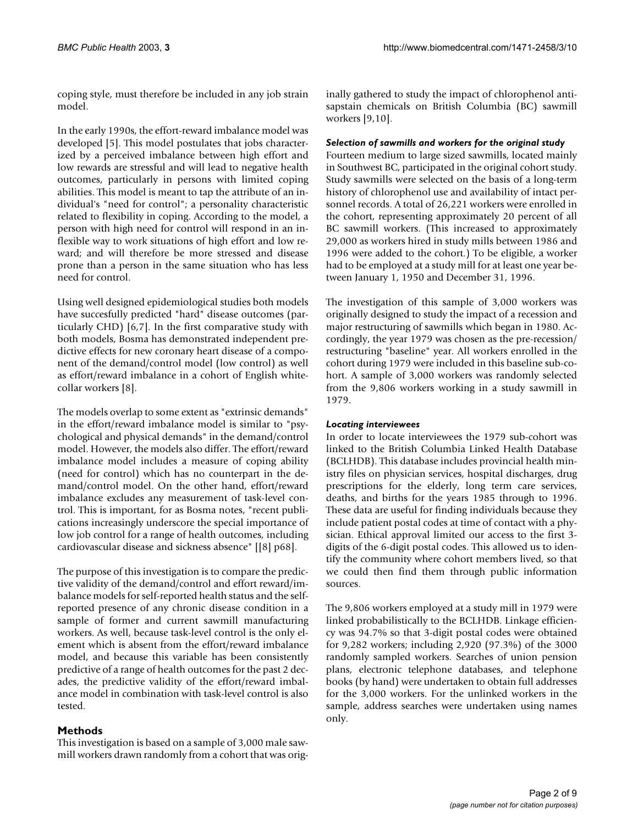coping style, must therefore be included in any job strain model.

In the early 1990s, the effort-reward imbalance model was developed [5]. This model postulates that jobs characterized by a perceived imbalance between high effort and low rewards are stressful and will lead to negative health outcomes, particularly in persons with limited coping abilities. This model is meant to tap the attribute of an individual's "need for control"; a personality characteristic related to flexibility in coping. According to the model, a person with high need for control will respond in an inflexible way to work situations of high effort and low reward; and will therefore be more stressed and disease prone than a person in the same situation who has less need for control.

Using well designed epidemiological studies both models have succesfully predicted "hard" disease outcomes (particularly CHD) [6,7]. In the first comparative study with both models, Bosma has demonstrated independent predictive effects for new coronary heart disease of a component of the demand/control model (low control) as well as effort/reward imbalance in a cohort of English whitecollar workers [8].

The models overlap to some extent as "extrinsic demands" in the effort/reward imbalance model is similar to "psychological and physical demands" in the demand/control model. However, the models also differ. The effort/reward imbalance model includes a measure of coping ability (need for control) which has no counterpart in the demand/control model. On the other hand, effort/reward imbalance excludes any measurement of task-level control. This is important, for as Bosma notes, "recent publications increasingly underscore the special importance of low job control for a range of health outcomes, including cardiovascular disease and sickness absence" [[8] p68].

The purpose of this investigation is to compare the predictive validity of the demand/control and effort reward/imbalance models for self-reported health status and the selfreported presence of any chronic disease condition in a sample of former and current sawmill manufacturing workers. As well, because task-level control is the only element which is absent from the effort/reward imbalance model, and because this variable has been consistently predictive of a range of health outcomes for the past 2 decades, the predictive validity of the effort/reward imbalance model in combination with task-level control is also tested.

### **Methods**

This investigation is based on a sample of 3,000 male sawmill workers drawn randomly from a cohort that was originally gathered to study the impact of chlorophenol antisapstain chemicals on British Columbia (BC) sawmill workers [9,10].

#### *Selection of sawmills and workers for the original study*

Fourteen medium to large sized sawmills, located mainly in Southwest BC, participated in the original cohort study. Study sawmills were selected on the basis of a long-term history of chlorophenol use and availability of intact personnel records. A total of 26,221 workers were enrolled in the cohort, representing approximately 20 percent of all BC sawmill workers. (This increased to approximately 29,000 as workers hired in study mills between 1986 and 1996 were added to the cohort.) To be eligible, a worker had to be employed at a study mill for at least one year between January 1, 1950 and December 31, 1996.

The investigation of this sample of 3,000 workers was originally designed to study the impact of a recession and major restructuring of sawmills which began in 1980. Accordingly, the year 1979 was chosen as the pre-recession/ restructuring "baseline" year. All workers enrolled in the cohort during 1979 were included in this baseline sub-cohort. A sample of 3,000 workers was randomly selected from the 9,806 workers working in a study sawmill in 1979.

#### *Locating interviewees*

In order to locate interviewees the 1979 sub-cohort was linked to the British Columbia Linked Health Database (BCLHDB). This database includes provincial health ministry files on physician services, hospital discharges, drug prescriptions for the elderly, long term care services, deaths, and births for the years 1985 through to 1996. These data are useful for finding individuals because they include patient postal codes at time of contact with a physician. Ethical approval limited our access to the first 3 digits of the 6-digit postal codes. This allowed us to identify the community where cohort members lived, so that we could then find them through public information sources.

The 9,806 workers employed at a study mill in 1979 were linked probabilistically to the BCLHDB. Linkage efficiency was 94.7% so that 3-digit postal codes were obtained for 9,282 workers; including 2,920 (97.3%) of the 3000 randomly sampled workers. Searches of union pension plans, electronic telephone databases, and telephone books (by hand) were undertaken to obtain full addresses for the 3,000 workers. For the unlinked workers in the sample, address searches were undertaken using names only.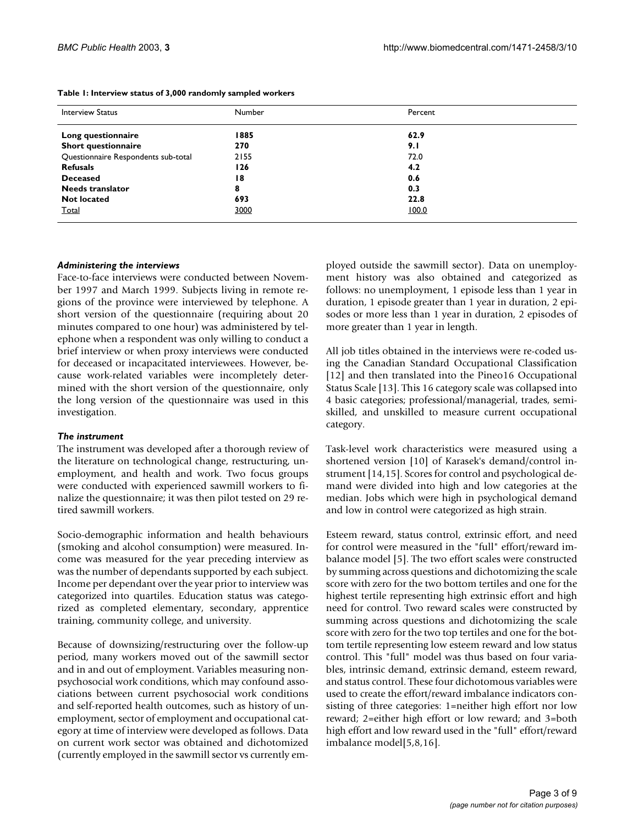| <b>Interview Status</b>             | Number | Percent |
|-------------------------------------|--------|---------|
| Long questionnaire                  | 1885   | 62.9    |
| Short questionnaire                 | 270    | 9.1     |
| Questionnaire Respondents sub-total | 2155   | 72.0    |
| <b>Refusals</b>                     | 126    | 4.2     |
| <b>Deceased</b>                     | 18     | 0.6     |
| <b>Needs translator</b>             | 8      | 0.3     |
| <b>Not located</b>                  | 693    | 22.8    |
| <b>Total</b>                        | 3000   | 100.0   |

#### <span id="page-2-0"></span>**Table 1: Interview status of 3,000 randomly sampled workers**

#### *Administering the interviews*

Face-to-face interviews were conducted between November 1997 and March 1999. Subjects living in remote regions of the province were interviewed by telephone. A short version of the questionnaire (requiring about 20 minutes compared to one hour) was administered by telephone when a respondent was only willing to conduct a brief interview or when proxy interviews were conducted for deceased or incapacitated interviewees. However, because work-related variables were incompletely determined with the short version of the questionnaire, only the long version of the questionnaire was used in this investigation.

#### *The instrument*

The instrument was developed after a thorough review of the literature on technological change, restructuring, unemployment, and health and work. Two focus groups were conducted with experienced sawmill workers to finalize the questionnaire; it was then pilot tested on 29 retired sawmill workers.

Socio-demographic information and health behaviours (smoking and alcohol consumption) were measured. Income was measured for the year preceding interview as was the number of dependants supported by each subject. Income per dependant over the year prior to interview was categorized into quartiles. Education status was categorized as completed elementary, secondary, apprentice training, community college, and university.

Because of downsizing/restructuring over the follow-up period, many workers moved out of the sawmill sector and in and out of employment. Variables measuring nonpsychosocial work conditions, which may confound associations between current psychosocial work conditions and self-reported health outcomes, such as history of unemployment, sector of employment and occupational category at time of interview were developed as follows. Data on current work sector was obtained and dichotomized (currently employed in the sawmill sector vs currently employed outside the sawmill sector). Data on unemployment history was also obtained and categorized as follows: no unemployment, 1 episode less than 1 year in duration, 1 episode greater than 1 year in duration, 2 episodes or more less than 1 year in duration, 2 episodes of more greater than 1 year in length.

All job titles obtained in the interviews were re-coded using the Canadian Standard Occupational Classification [12] and then translated into the Pineo16 Occupational Status Scale [13]. This 16 category scale was collapsed into 4 basic categories; professional/managerial, trades, semiskilled, and unskilled to measure current occupational category.

Task-level work characteristics were measured using a shortened version [10] of Karasek's demand/control instrument [14,15]. Scores for control and psychological demand were divided into high and low categories at the median. Jobs which were high in psychological demand and low in control were categorized as high strain.

Esteem reward, status control, extrinsic effort, and need for control were measured in the "full" effort/reward imbalance model [5]. The two effort scales were constructed by summing across questions and dichotomizing the scale score with zero for the two bottom tertiles and one for the highest tertile representing high extrinsic effort and high need for control. Two reward scales were constructed by summing across questions and dichotomizing the scale score with zero for the two top tertiles and one for the bottom tertile representing low esteem reward and low status control. This "full" model was thus based on four variables, intrinsic demand, extrinsic demand, esteem reward, and status control. These four dichotomous variables were used to create the effort/reward imbalance indicators consisting of three categories: 1=neither high effort nor low reward; 2=either high effort or low reward; and 3=both high effort and low reward used in the "full" effort/reward imbalance model[5,8,16].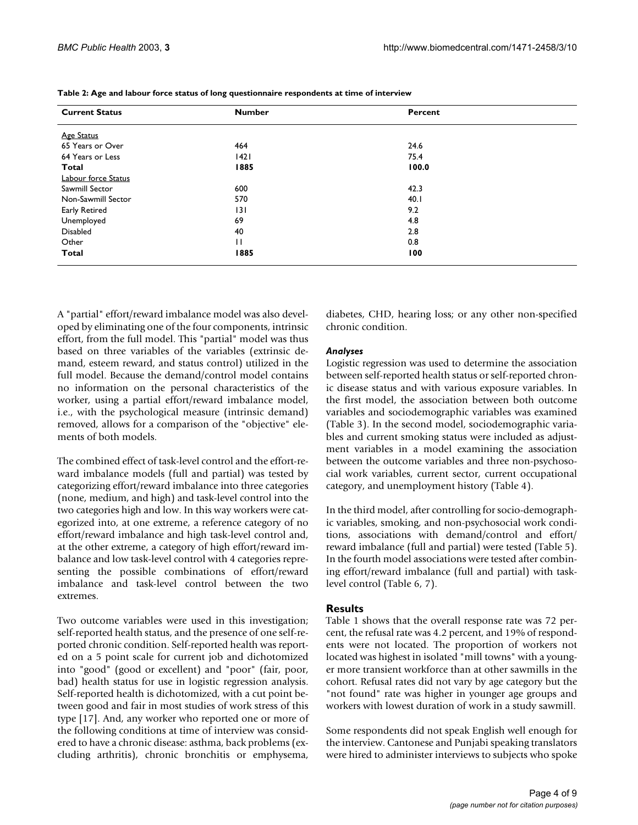| <b>Current Status</b> | <b>Number</b> | Percent |
|-----------------------|---------------|---------|
| <b>Age Status</b>     |               |         |
| 65 Years or Over      | 464           | 24.6    |
| 64 Years or Less      | 42            | 75.4    |
| <b>Total</b>          | 1885          | 100.0   |
| Labour force Status   |               |         |
| Sawmill Sector        | 600           | 42.3    |
| Non-Sawmill Sector    | 570           | 40.1    |
| Early Retired         | 131           | 9.2     |
| Unemployed            | 69            | 4.8     |
| <b>Disabled</b>       | 40            | 2.8     |
| Other                 | П             | 0.8     |
| Total                 | 1885          | 100     |

<span id="page-3-0"></span>

| Table 2: Age and labour force status of long questionnaire respondents at time of interview |
|---------------------------------------------------------------------------------------------|
|---------------------------------------------------------------------------------------------|

A "partial" effort/reward imbalance model was also developed by eliminating one of the four components, intrinsic effort, from the full model. This "partial" model was thus based on three variables of the variables (extrinsic demand, esteem reward, and status control) utilized in the full model. Because the demand/control model contains no information on the personal characteristics of the worker, using a partial effort/reward imbalance model, i.e., with the psychological measure (intrinsic demand) removed, allows for a comparison of the "objective" elements of both models.

The combined effect of task-level control and the effort-reward imbalance models (full and partial) was tested by categorizing effort/reward imbalance into three categories (none, medium, and high) and task-level control into the two categories high and low. In this way workers were categorized into, at one extreme, a reference category of no effort/reward imbalance and high task-level control and, at the other extreme, a category of high effort/reward imbalance and low task-level control with 4 categories representing the possible combinations of effort/reward imbalance and task-level control between the two extremes.

Two outcome variables were used in this investigation; self-reported health status, and the presence of one self-reported chronic condition. Self-reported health was reported on a 5 point scale for current job and dichotomized into "good" (good or excellent) and "poor" (fair, poor, bad) health status for use in logistic regression analysis. Self-reported health is dichotomized, with a cut point between good and fair in most studies of work stress of this type [17]. And, any worker who reported one or more of the following conditions at time of interview was considered to have a chronic disease: asthma, back problems (excluding arthritis), chronic bronchitis or emphysema,

diabetes, CHD, hearing loss; or any other non-specified chronic condition.

#### *Analyses*

Logistic regression was used to determine the association between self-reported health status or self-reported chronic disease status and with various exposure variables. In the first model, the association between both outcome variables and sociodemographic variables was examined (Table [3](#page-4-0)). In the second model, sociodemographic variables and current smoking status were included as adjustment variables in a model examining the association between the outcome variables and three non-psychosocial work variables, current sector, current occupational category, and unemployment history (Table [4\)](#page-4-1).

In the third model, after controlling for socio-demographic variables, smoking, and non-psychosocial work conditions, associations with demand/control and effort/ reward imbalance (full and partial) were tested (Table [5\)](#page-5-0). In the fourth model associations were tested after combining effort/reward imbalance (full and partial) with tasklevel control (Table [6,](#page-5-1) [7](#page-6-0)).

### **Results**

Table [1](#page-2-0) shows that the overall response rate was 72 percent, the refusal rate was 4.2 percent, and 19% of respondents were not located. The proportion of workers not located was highest in isolated "mill towns" with a younger more transient workforce than at other sawmills in the cohort. Refusal rates did not vary by age category but the "not found" rate was higher in younger age groups and workers with lowest duration of work in a study sawmill.

Some respondents did not speak English well enough for the interview. Cantonese and Punjabi speaking translators were hired to administer interviews to subjects who spoke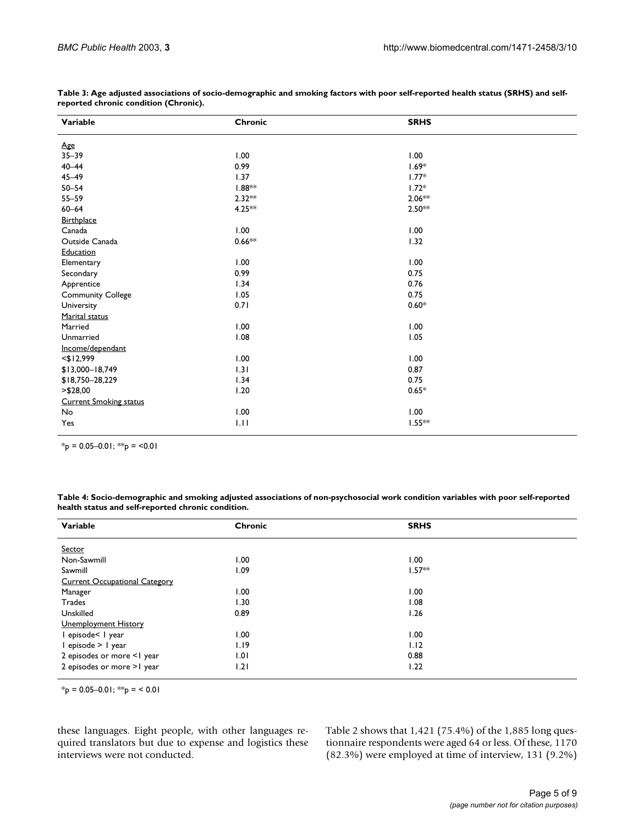| Variable                      | Chronic   | <b>SRHS</b> |
|-------------------------------|-----------|-------------|
| <u>Age</u>                    |           |             |
| $35 - 39$                     | 1.00      | 1.00        |
| $40 - 44$                     | 0.99      | $1.69*$     |
| $45 - 49$                     | 1.37      | $1.77*$     |
| $50 - 54$                     | $1.88**$  | $1.72*$     |
| $55 - 59$                     | $2.32**$  | $2.06**$    |
| $60 - 64$                     | $4.25***$ | $2.50**$    |
| Birthplace                    |           |             |
| Canada                        | 1.00      | 1.00        |
| Outside Canada                | $0.66**$  | 1.32        |
| Education                     |           |             |
| Elementary                    | 1.00      | 1.00        |
| Secondary                     | 0.99      | 0.75        |
| Apprentice                    | 1.34      | 0.76        |
| <b>Community College</b>      | 1.05      | 0.75        |
| University                    | 0.71      | $0.60*$     |
| Marital status                |           |             |
| Married                       | 1.00      | 1.00        |
| Unmarried                     | 1.08      | 1.05        |
| Income/dependant              |           |             |
| $<$ \$12,999                  | 1.00      | 1.00        |
| \$13,000-18,749               | 1.31      | 0.87        |
| \$18,750-28,229               | 1.34      | 0.75        |
| $>$ \$28,00                   | 1.20      | $0.65*$     |
| <b>Current Smoking status</b> |           |             |
| No                            | 1.00      | 1.00        |
| Yes                           | 1.11      | $1.55***$   |

<span id="page-4-0"></span>**Table 3: Age adjusted associations of socio-demographic and smoking factors with poor self-reported health status (SRHS) and selfreported chronic condition (Chronic).**

 $*_{p}$  = 0.05–0.01;  $*_{p}$  = <0.01

<span id="page-4-1"></span>**Table 4: Socio-demographic and smoking adjusted associations of non-psychosocial work condition variables with poor self-reported health status and self-reported chronic condition.**

| Variable                             | <b>Chronic</b> | <b>SRHS</b> |
|--------------------------------------|----------------|-------------|
| Sector                               |                |             |
| Non-Sawmill                          | 1.00           | 1.00        |
| Sawmill                              | l.09           | $1.57**$    |
| <b>Current Occupational Category</b> |                |             |
| Manager                              | 1.00           | 1.00        |
| Trades                               | 1.30           | 0.08        |
| Unskilled                            | 0.89           | 1.26        |
| Unemployment History                 |                |             |
| I episode< I year                    | 1.00           | 1.00        |
| I episode > I year                   | I.I9           | 1.12        |
| 2 episodes or more <1 year           | 1.01           | 0.88        |
| 2 episodes or more >1 year           | 1.21           | 1.22        |

 $*_{p}$  = 0.05–0.01;  $*_{p}$  = < 0.01

these languages. Eight people, with other languages required translators but due to expense and logistics these interviews were not conducted.

Table [2](#page-3-0) shows that 1,421 (75.4%) of the 1,885 long questionnaire respondents were aged 64 or less. Of these, 1170 (82.3%) were employed at time of interview, 131 (9.2%)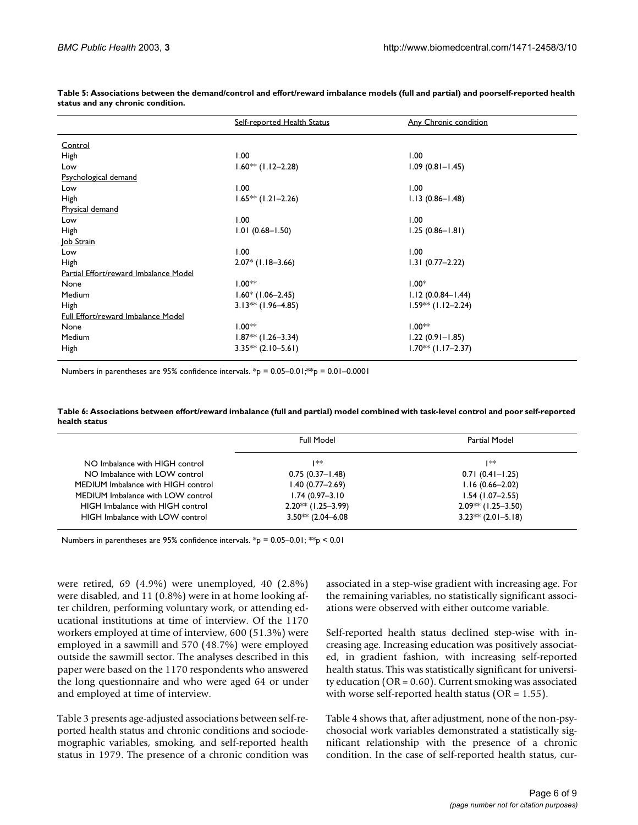|                                       | Self-reported Health Status | <b>Any Chronic condition</b> |
|---------------------------------------|-----------------------------|------------------------------|
| Control                               |                             |                              |
| High                                  | 1.00                        | 00.1                         |
| Low                                   | $1.60**$ (1.12-2.28)        | $1.09(0.81 - 1.45)$          |
| Psychological demand                  |                             |                              |
| Low                                   | 1.00                        | 00.1                         |
| High                                  | $1.65**$ (1.21-2.26)        | $1.13(0.86 - 1.48)$          |
| Physical demand                       |                             |                              |
| Low                                   | 1.00                        | 00.1                         |
| High                                  | $1.01(0.68 - 1.50)$         | $1.25(0.86 - 1.81)$          |
| lob Strain                            |                             |                              |
| Low                                   | 1.00                        | 00.1                         |
| High                                  | $2.07*$ (1.18-3.66)         | $1.31(0.77 - 2.22)$          |
| Partial Effort/reward Imbalance Model |                             |                              |
| None                                  | $1.00**$                    | $1.00*$                      |
| Medium                                | $1.60*$ (1.06-2.45)         | $1.12(0.0.84 - 1.44)$        |
| High                                  | $3.13**$ (1.96-4.85)        | $1.59***$ (1.12-2.24)        |
| Full Effort/reward Imbalance Model    |                             |                              |
| None                                  | $1.00**$                    | $1.00**$                     |
| Medium                                | $1.87**$ (1.26-3.34)        | $1.22(0.91 - 1.85)$          |
| High                                  | $3.35**$ (2.10-5.61)        | $1.70***$ (1.17–2.37)        |

<span id="page-5-0"></span>**Table 5: Associations between the demand/control and effort/reward imbalance models (full and partial) and poorself-reported health status and any chronic condition.**

Numbers in parentheses are 95% confidence intervals.  ${}^*p = 0.05-0.01; {}^*{}^p p = 0.01-0.0001$ 

<span id="page-5-1"></span>**Table 6: Associations between effort/reward imbalance (full and partial) model combined with task-level control and poor self-reported health status**

|                                    | <b>Full Model</b>      | Partial Model         |
|------------------------------------|------------------------|-----------------------|
| NO Imbalance with HIGH control     | l ≭≫k                  | l∗*                   |
| NO Imbalance with LOW control      | $0.75(0.37 - 1.48)$    | $0.71(0.41 - 1.25)$   |
| MEDIUM Imbalance with HIGH control | $1.40(0.77 - 2.69)$    | $1.16(0.66 - 2.02)$   |
| MEDIUM Imbalance with LOW control  | $1.74(0.97 - 3.10)$    | $1.54$ (1.07-2.55)    |
| HIGH Imbalance with HIGH control   | $2.20***$ (1.25-3.99)  | $2.09***$ (1.25-3.50) |
| HIGH Imbalance with LOW control    | $3.50** (2.04 - 6.08)$ | $3.23***$ (2.01-5.18) |

Numbers in parentheses are 95% confidence intervals. \*p = 0.05–0.01; \*\*p < 0.01

were retired, 69 (4.9%) were unemployed, 40 (2.8%) were disabled, and 11 (0.8%) were in at home looking after children, performing voluntary work, or attending educational institutions at time of interview. Of the 1170 workers employed at time of interview, 600 (51.3%) were employed in a sawmill and 570 (48.7%) were employed outside the sawmill sector. The analyses described in this paper were based on the 1170 respondents who answered the long questionnaire and who were aged 64 or under and employed at time of interview.

Table [3](#page-4-0) presents age-adjusted associations between self-reported health status and chronic conditions and sociodemographic variables, smoking, and self-reported health status in 1979. The presence of a chronic condition was associated in a step-wise gradient with increasing age. For the remaining variables, no statistically significant associations were observed with either outcome variable.

Self-reported health status declined step-wise with increasing age. Increasing education was positively associated, in gradient fashion, with increasing self-reported health status. This was statistically significant for university education (OR = 0.60). Current smoking was associated with worse self-reported health status ( $OR = 1.55$ ).

Table [4](#page-4-1) shows that, after adjustment, none of the non-psychosocial work variables demonstrated a statistically significant relationship with the presence of a chronic condition. In the case of self-reported health status, cur-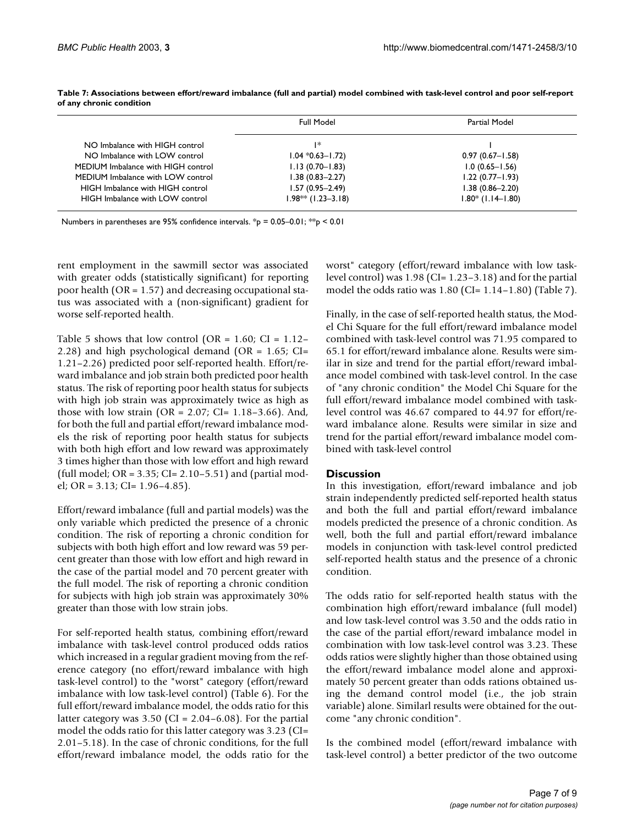|                                    | <b>Full Model</b>     | Partial Model       |
|------------------------------------|-----------------------|---------------------|
| NO Imbalance with HIGH control     | l*                    |                     |
| NO Imbalance with LOW control      | $1.04 * 0.63 - 1.72$  | $0.97(0.67 - 1.58)$ |
| MEDIUM Imbalance with HIGH control | $1.13(0.70 - 1.83)$   | $1.0(0.65 - 1.56)$  |
| MEDIUM Imbalance with LOW control  | $1.38(0.83 - 2.27)$   | $1.22(0.77 - 1.93)$ |
| HIGH Imbalance with HIGH control   | $1.57(0.95 - 2.49)$   | $1.38(0.86 - 2.20)$ |
| HIGH Imbalance with LOW control    | $1.98***$ (1.23-3.18) | $1.80*$ (1.14–1.80) |

<span id="page-6-0"></span>**Table 7: Associations between effort/reward imbalance (full and partial) model combined with task-level control and poor self-report of any chronic condition**

Numbers in parentheses are 95% confidence intervals. \*p = 0.05–0.01; \*\*p < 0.01

rent employment in the sawmill sector was associated with greater odds (statistically significant) for reporting poor health (OR = 1.57) and decreasing occupational status was associated with a (non-significant) gradient for worse self-reported health.

Table [5](#page-5-0) shows that low control (OR =  $1.60$ ; CI =  $1.12-$ 2.28) and high psychological demand (OR = 1.65; CI= 1.21–2.26) predicted poor self-reported health. Effort/reward imbalance and job strain both predicted poor health status. The risk of reporting poor health status for subjects with high job strain was approximately twice as high as those with low strain (OR =  $2.07$ ; CI=  $1.18 - 3.66$ ). And, for both the full and partial effort/reward imbalance models the risk of reporting poor health status for subjects with both high effort and low reward was approximately 3 times higher than those with low effort and high reward (full model;  $OR = 3.35$ ;  $CI = 2.10-5.51$ ) and (partial model; OR = 3.13; CI= 1.96-4.85).

Effort/reward imbalance (full and partial models) was the only variable which predicted the presence of a chronic condition. The risk of reporting a chronic condition for subjects with both high effort and low reward was 59 percent greater than those with low effort and high reward in the case of the partial model and 70 percent greater with the full model. The risk of reporting a chronic condition for subjects with high job strain was approximately 30% greater than those with low strain jobs.

For self-reported health status, combining effort/reward imbalance with task-level control produced odds ratios which increased in a regular gradient moving from the reference category (no effort/reward imbalance with high task-level control) to the "worst" category (effort/reward imbalance with low task-level control) (Table [6\)](#page-5-1). For the full effort/reward imbalance model, the odds ratio for this latter category was  $3.50$  (CI =  $2.04-6.08$ ). For the partial model the odds ratio for this latter category was 3.23 (CI= 2.01–5.18). In the case of chronic conditions, for the full effort/reward imbalance model, the odds ratio for the worst" category (effort/reward imbalance with low tasklevel control) was 1.98 (CI= 1.23–3.18) and for the partial model the odds ratio was  $1.80$  (CI=  $1.14-1.80$ ) (Table [7\)](#page-6-0).

Finally, in the case of self-reported health status, the Model Chi Square for the full effort/reward imbalance model combined with task-level control was 71.95 compared to 65.1 for effort/reward imbalance alone. Results were similar in size and trend for the partial effort/reward imbalance model combined with task-level control. In the case of "any chronic condition" the Model Chi Square for the full effort/reward imbalance model combined with tasklevel control was 46.67 compared to 44.97 for effort/reward imbalance alone. Results were similar in size and trend for the partial effort/reward imbalance model combined with task-level control

### **Discussion**

In this investigation, effort/reward imbalance and job strain independently predicted self-reported health status and both the full and partial effort/reward imbalance models predicted the presence of a chronic condition. As well, both the full and partial effort/reward imbalance models in conjunction with task-level control predicted self-reported health status and the presence of a chronic condition.

The odds ratio for self-reported health status with the combination high effort/reward imbalance (full model) and low task-level control was 3.50 and the odds ratio in the case of the partial effort/reward imbalance model in combination with low task-level control was 3.23. These odds ratios were slightly higher than those obtained using the effort/reward imbalance model alone and approximately 50 percent greater than odds rations obtained using the demand control model (i.e., the job strain variable) alone. Similarl results were obtained for the outcome "any chronic condition".

Is the combined model (effort/reward imbalance with task-level control) a better predictor of the two outcome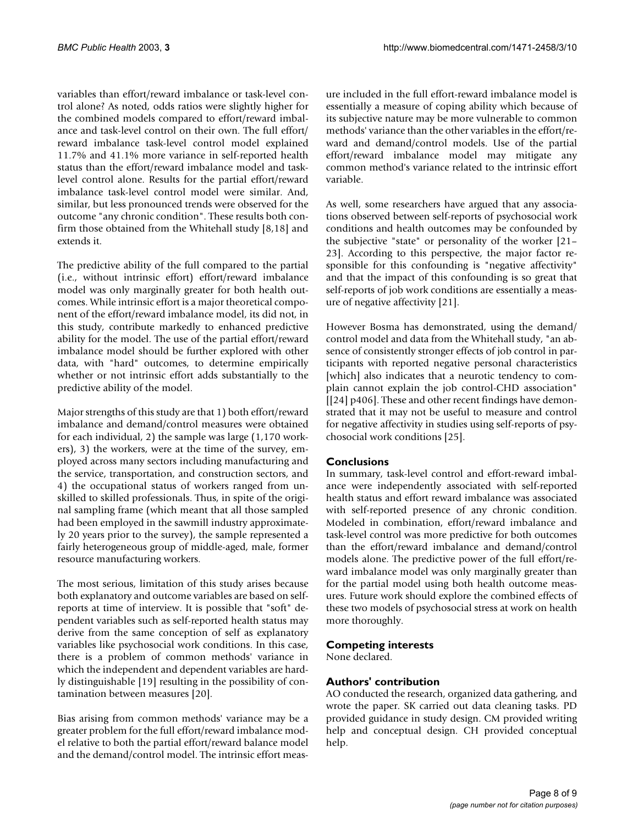variables than effort/reward imbalance or task-level control alone? As noted, odds ratios were slightly higher for the combined models compared to effort/reward imbalance and task-level control on their own. The full effort/ reward imbalance task-level control model explained 11.7% and 41.1% more variance in self-reported health status than the effort/reward imbalance model and tasklevel control alone. Results for the partial effort/reward imbalance task-level control model were similar. And, similar, but less pronounced trends were observed for the outcome "any chronic condition". These results both confirm those obtained from the Whitehall study [8,18] and extends it.

The predictive ability of the full compared to the partial (i.e., without intrinsic effort) effort/reward imbalance model was only marginally greater for both health outcomes. While intrinsic effort is a major theoretical component of the effort/reward imbalance model, its did not, in this study, contribute markedly to enhanced predictive ability for the model. The use of the partial effort/reward imbalance model should be further explored with other data, with "hard" outcomes, to determine empirically whether or not intrinsic effort adds substantially to the predictive ability of the model.

Major strengths of this study are that 1) both effort/reward imbalance and demand/control measures were obtained for each individual, 2) the sample was large (1,170 workers), 3) the workers, were at the time of the survey, employed across many sectors including manufacturing and the service, transportation, and construction sectors, and 4) the occupational status of workers ranged from unskilled to skilled professionals. Thus, in spite of the original sampling frame (which meant that all those sampled had been employed in the sawmill industry approximately 20 years prior to the survey), the sample represented a fairly heterogeneous group of middle-aged, male, former resource manufacturing workers.

The most serious, limitation of this study arises because both explanatory and outcome variables are based on selfreports at time of interview. It is possible that "soft" dependent variables such as self-reported health status may derive from the same conception of self as explanatory variables like psychosocial work conditions. In this case, there is a problem of common methods' variance in which the independent and dependent variables are hardly distinguishable [19] resulting in the possibility of contamination between measures [20].

Bias arising from common methods' variance may be a greater problem for the full effort/reward imbalance model relative to both the partial effort/reward balance model and the demand/control model. The intrinsic effort measure included in the full effort-reward imbalance model is essentially a measure of coping ability which because of its subjective nature may be more vulnerable to common methods' variance than the other variables in the effort/reward and demand/control models. Use of the partial effort/reward imbalance model may mitigate any common method's variance related to the intrinsic effort variable.

As well, some researchers have argued that any associations observed between self-reports of psychosocial work conditions and health outcomes may be confounded by the subjective "state" or personality of the worker [21– 23]. According to this perspective, the major factor responsible for this confounding is "negative affectivity" and that the impact of this confounding is so great that self-reports of job work conditions are essentially a measure of negative affectivity [21].

However Bosma has demonstrated, using the demand/ control model and data from the Whitehall study, "an absence of consistently stronger effects of job control in participants with reported negative personal characteristics [which] also indicates that a neurotic tendency to complain cannot explain the job control-CHD association" [[24] p406]. These and other recent findings have demonstrated that it may not be useful to measure and control for negative affectivity in studies using self-reports of psychosocial work conditions [25].

### **Conclusions**

In summary, task-level control and effort-reward imbalance were independently associated with self-reported health status and effort reward imbalance was associated with self-reported presence of any chronic condition. Modeled in combination, effort/reward imbalance and task-level control was more predictive for both outcomes than the effort/reward imbalance and demand/control models alone. The predictive power of the full effort/reward imbalance model was only marginally greater than for the partial model using both health outcome measures. Future work should explore the combined effects of these two models of psychosocial stress at work on health more thoroughly.

#### **Competing interests**

None declared.

#### **Authors' contribution**

AO conducted the research, organized data gathering, and wrote the paper. SK carried out data cleaning tasks. PD provided guidance in study design. CM provided writing help and conceptual design. CH provided conceptual help.